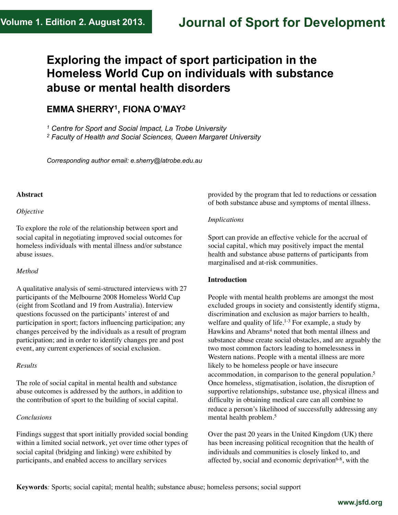# **Journal of Sport for Development**

# **Exploring the impact of sport participation in the Homeless World Cup on individuals with substance abuse or mental health disorders**

# **EMMA SHERRY1, FIONA O'MAY2**

*<sup>1</sup> Centre for Sport and Social Impact, La Trobe University* 

*2 Faculty of Health and Social Sciences, Queen Margaret University* 

*Corresponding author email: e.sherry@latrobe.edu.au*

#### **Abstract**

#### *Objective*

To explore the role of the relationship between sport and social capital in negotiating improved social outcomes for homeless individuals with mental illness and/or substance abuse issues.

#### *Method*

A qualitative analysis of semi-structured interviews with 27 participants of the Melbourne 2008 Homeless World Cup (eight from Scotland and 19 from Australia). Interview questions focussed on the participants' interest of and participation in sport; factors influencing participation; any changes perceived by the individuals as a result of program participation; and in order to identify changes pre and post event, any current experiences of social exclusion.

# *Results*

The role of social capital in mental health and substance abuse outcomes is addressed by the authors, in addition to the contribution of sport to the building of social capital.

# *Conclusions*

Findings suggest that sport initially provided social bonding within a limited social network, yet over time other types of social capital (bridging and linking) were exhibited by participants, and enabled access to ancillary services

provided by the program that led to reductions or cessation of both substance abuse and symptoms of mental illness.

#### *Implications*

Sport can provide an effective vehicle for the accrual of social capital, which may positively impact the mental health and substance abuse patterns of participants from marginalised and at-risk communities.

# **Introduction**

People with mental health problems are amongst the most excluded groups in society and consistently identify stigma, discrimination and exclusion as major barriers to health, welfare and quality of life.<sup>1-3</sup> For example, a study by Hawkins and Abrams<sup>4</sup> noted that both mental illness and substance abuse create social obstacles, and are arguably the two most common factors leading to homelessness in Western nations. People with a mental illness are more likely to be homeless people or have insecure accommodation, in comparison to the general population.<sup>5</sup> Once homeless, stigmatisation, isolation, the disruption of supportive relationships, substance use, physical illness and difficulty in obtaining medical care can all combine to reduce a person's likelihood of successfully addressing any mental health problem.5

Over the past 20 years in the United Kingdom (UK) there has been increasing political recognition that the health of individuals and communities is closely linked to, and affected by, social and economic deprivation $6-8$ , with the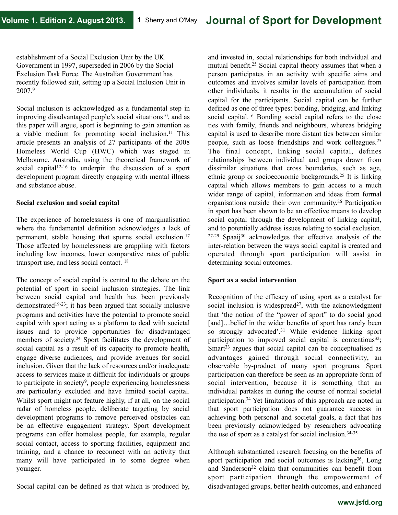establishment of a Social Exclusion Unit by the UK Government in 1997, superseded in 2006 by the Social Exclusion Task Force. The Australian Government has recently followed suit, setting up a Social Inclusion Unit in 2007.9

Social inclusion is acknowledged as a fundamental step in improving disadvantaged people's social situations<sup>10</sup>, and as this paper will argue, sport is beginning to gain attention as a viable medium for promoting social inclusion.11 This article presents an analysis of 27 participants of the 2008 Homeless World Cup (HWC) which was staged in Melbourne, Australia, using the theoretical framework of social capital<sup>12-16</sup> to underpin the discussion of a sport development program directly engaging with mental illness and substance abuse.

#### **Social exclusion and social capital**

The experience of homelessness is one of marginalisation where the fundamental definition acknowledges a lack of permanent, stable housing that spurns social exclusion.17 Those affected by homelessness are grappling with factors including low incomes, lower comparative rates of public transport use, and less social contact. 18

The concept of social capital is central to the debate on the potential of sport in social inclusion strategies. The link between social capital and health has been previously demonstrated19-23; it has been argued that socially inclusive programs and activities have the potential to promote social capital with sport acting as a platform to deal with societal issues and to provide opportunities for disadvantaged members of society.24 Sport facilitates the development of social capital as a result of its capacity to promote health, engage diverse audiences, and provide avenues for social inclusion. Given that the lack of resources and/or inadequate access to services make it difficult for individuals or groups to participate in society<sup>9</sup>, people experiencing homelessness are particularly excluded and have limited social capital. Whilst sport might not feature highly, if at all, on the social radar of homeless people, deliberate targeting by social development programs to remove perceived obstacles can be an effective engagement strategy. Sport development programs can offer homeless people, for example, regular social contact, access to sporting facilities, equipment and training, and a chance to reconnect with an activity that many will have participated in to some degree when younger.

Social capital can be defined as that which is produced by,

and invested in, social relationships for both individual and mutual benefit.25 Social capital theory assumes that when a person participates in an activity with specific aims and outcomes and involves similar levels of participation from other individuals, it results in the accumulation of social capital for the participants. Social capital can be further defined as one of three types: bonding, bridging, and linking social capital.<sup>16</sup> Bonding social capital refers to the close ties with family, friends and neighbours, whereas bridging capital is used to describe more distant ties between similar people, such as loose friendships and work colleagues.25 The final concept, linking social capital, defines relationships between individual and groups drawn from dissimilar situations that cross boundaries, such as age, ethnic group or socioeconomic backgrounds.25 It is linking capital which allows members to gain access to a much wider range of capital, information and ideas from formal organisations outside their own community.26 Participation in sport has been shown to be an effective means to develop social capital through the development of linking capital, and to potentially address issues relating to social exclusion. 27-29 Spaaij30 acknowledges that effective analysis of the inter-relation between the ways social capital is created and operated through sport participation will assist in determining social outcomes.

# **Sport as a social intervention**

Recognition of the efficacy of using sport as a catalyst for social inclusion is widespread<sup>27</sup>, with the acknowledgment that 'the notion of the "power of sport" to do social good [and]...belief in the wider benefits of sport has rarely been so strongly advocated'.<sup>31</sup> While evidence linking sport participation to improved social capital is contentious<sup>32</sup>; Smart $33$  argues that social capital can be conceptualised as advantages gained through social connectivity, an observable by-product of many sport programs. Sport participation can therefore be seen as an appropriate form of social intervention, because it is something that an individual partakes in during the course of normal societal participation.34 Yet limitations of this approach are noted in that sport participation does not guarantee success in achieving both personal and societal goals, a fact that has been previously acknowledged by researchers advocating the use of sport as a catalyst for social inclusion.34-35

Although substantiated research focusing on the benefits of sport participation and social outcomes is lacking<sup>36</sup>, Long and Sanderson<sup>32</sup> claim that communities can benefit from sport participation through the empowerment of disadvantaged groups, better health outcomes, and enhanced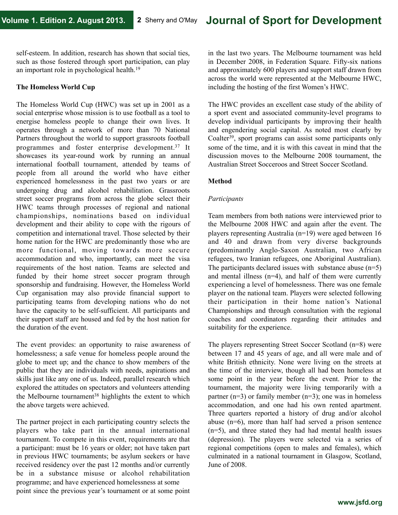self-esteem. In addition, research has shown that social ties, such as those fostered through sport participation, can play an important role in psychological health.19

### **The Homeless World Cup**

The Homeless World Cup (HWC) was set up in 2001 as a social enterprise whose mission is to use football as a tool to energise homeless people to change their own lives. It operates through a network of more than 70 National Partners throughout the world to support grassroots football programmes and foster enterprise development.37 It showcases its year-round work by running an annual international football tournament, attended by teams of people from all around the world who have either experienced homelessness in the past two years or are undergoing drug and alcohol rehabilitation. Grassroots street soccer programs from across the globe select their HWC teams through processes of regional and national championships, nominations based on individual development and their ability to cope with the rigours of competition and international travel. Those selected by their home nation for the HWC are predominantly those who are more functional, moving towards more secure accommodation and who, importantly, can meet the visa requirements of the host nation. Teams are selected and funded by their home street soccer program through sponsorship and fundraising. However, the Homeless World Cup organisation may also provide financial support to participating teams from developing nations who do not have the capacity to be self-sufficient. All participants and their support staff are housed and fed by the host nation for the duration of the event.

The event provides: an opportunity to raise awareness of homelessness; a safe venue for homeless people around the globe to meet up; and the chance to show members of the public that they are individuals with needs, aspirations and skills just like any one of us. Indeed, parallel research which explored the attitudes on spectators and volunteers attending the Melbourne tournament<sup>38</sup> highlights the extent to which the above targets were achieved.

The partner project in each participating country selects the players who take part in the annual international tournament. To compete in this event, requirements are that a participant: must be 16 years or older; not have taken part in previous HWC tournaments; be asylum seekers or have received residency over the past 12 months and/or currently be in a substance misuse or alcohol rehabilitation programme; and have experienced homelessness at some point since the previous year's tournament or at some point in the last two years. The Melbourne tournament was held in December 2008, in Federation Square. Fifty-six nations and approximately 600 players and support staff drawn from across the world were represented at the Melbourne HWC, including the hosting of the first Women's HWC.

The HWC provides an excellent case study of the ability of a sport event and associated community-level programs to develop individual participants by improving their health and engendering social capital. As noted most clearly by Coalter39, sport programs can assist some participants only some of the time, and it is with this caveat in mind that the discussion moves to the Melbourne 2008 tournament, the Australian Street Socceroos and Street Soccer Scotland.

# **Method**

# *Participants*

Team members from both nations were interviewed prior to the Melbourne 2008 HWC and again after the event. The players representing Australia (n=19) were aged between 16 and 40 and drawn from very diverse backgrounds (predominantly Anglo-Saxon Australian, two African refugees, two Iranian refugees, one Aboriginal Australian). The participants declared issues with substance abuse  $(n=5)$ and mental illness  $(n=4)$ , and half of them were currently experiencing a level of homelessness. There was one female player on the national team. Players were selected following their participation in their home nation's National Championships and through consultation with the regional coaches and coordinators regarding their attitudes and suitability for the experience.

The players representing Street Soccer Scotland (n=8) were between 17 and 45 years of age, and all were male and of white British ethnicity. None were living on the streets at the time of the interview, though all had been homeless at some point in the year before the event. Prior to the tournament, the majority were living temporarily with a partner  $(n=3)$  or family member  $(n=3)$ ; one was in homeless accommodation, and one had his own rented apartment. Three quarters reported a history of drug and/or alcohol abuse (n=6), more than half had served a prison sentence (n=5), and three stated they had had mental health issues (depression). The players were selected via a series of regional competitions (open to males and females), which culminated in a national tournament in Glasgow, Scotland, June of 2008.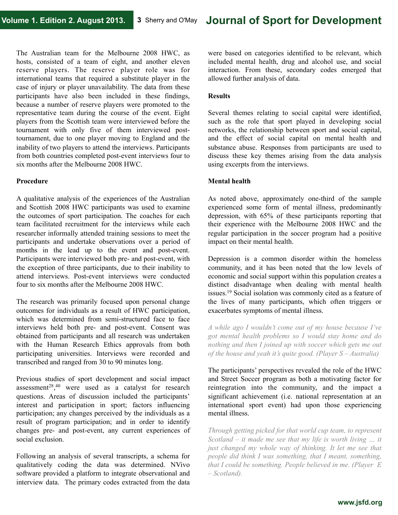The Australian team for the Melbourne 2008 HWC, as hosts, consisted of a team of eight, and another eleven reserve players. The reserve player role was for international teams that required a substitute player in the case of injury or player unavailability. The data from these participants have also been included in these findings, because a number of reserve players were promoted to the representative team during the course of the event. Eight players from the Scottish team were interviewed before the tournament with only five of them interviewed posttournament, due to one player moving to England and the inability of two players to attend the interviews. Participants from both countries completed post-event interviews four to six months after the Melbourne 2008 HWC.

#### **Procedure**

A qualitative analysis of the experiences of the Australian and Scottish 2008 HWC participants was used to examine the outcomes of sport participation. The coaches for each team facilitated recruitment for the interviews while each researcher informally attended training sessions to meet the participants and undertake observations over a period of months in the lead up to the event and post-event. Participants were interviewed both pre- and post-event, with the exception of three participants, due to their inability to attend interviews. Post-event interviews were conducted four to six months after the Melbourne 2008 HWC.

The research was primarily focused upon personal change outcomes for individuals as a result of HWC participation, which was determined from semi-structured face to face interviews held both pre- and post-event. Consent was obtained from participants and all research was undertaken with the Human Research Ethics approvals from both participating universities. Interviews were recorded and transcribed and ranged from 30 to 90 minutes long.

Previous studies of sport development and social impact assessment28, 40 were used as a catalyst for research questions. Areas of discussion included the participants' interest and participation in sport; factors influencing participation; any changes perceived by the individuals as a result of program participation; and in order to identify changes pre- and post-event, any current experiences of social exclusion.

Following an analysis of several transcripts, a schema for qualitatively coding the data was determined. NVivo software provided a platform to integrate observational and interview data. The primary codes extracted from the data

were based on categories identified to be relevant, which included mental health, drug and alcohol use, and social interaction. From these, secondary codes emerged that allowed further analysis of data.

#### **Results**

Several themes relating to social capital were identified, such as the role that sport played in developing social networks, the relationship between sport and social capital, and the effect of social capital on mental health and substance abuse. Responses from participants are used to discuss these key themes arising from the data analysis using excerpts from the interviews.

#### **Mental health**

As noted above, approximately one-third of the sample experienced some form of mental illness, predominantly depression, with 65% of these participants reporting that their experience with the Melbourne 2008 HWC and the regular participation in the soccer program had a positive impact on their mental health.

Depression is a common disorder within the homeless community, and it has been noted that the low levels of economic and social support within this population creates a distinct disadvantage when dealing with mental health issues.19 Social isolation was commonly cited as a feature of the lives of many participants, which often triggers or exacerbates symptoms of mental illness.

*A while ago I wouldn't come out of my house because I've got mental health problems so I would stay home and do nothing and then I joined up with soccer which gets me out of the house and yeah it's quite good. (Player S – Australia)* 

The participants' perspectives revealed the role of the HWC and Street Soccer program as both a motivating factor for reintegration into the community, and the impact a significant achievement (i.e. national representation at an international sport event) had upon those experiencing mental illness.

*Through getting picked for that world cup team, to represent Scotland – it made me see that my life is worth living … it just changed my whole way of thinking. It let me see that people did think I was something, that I meant, something, that I could be something. People believed in me. (Player E – Scotland).*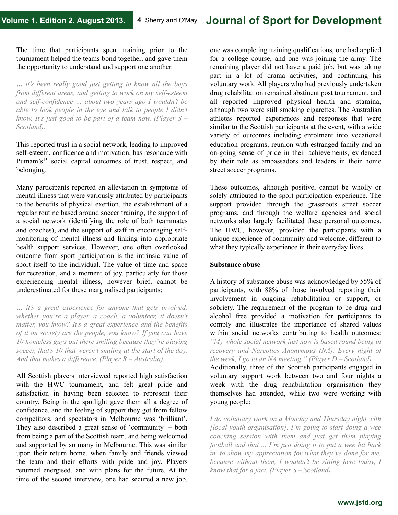The time that participants spent training prior to the tournament helped the teams bond together, and gave them the opportunity to understand and support one another.

*… it's been really good just getting to know all the boys from different areas, and getting to work on my self-esteem and self-confidence … about two years ago I wouldn't be able to look people in the eye and talk to people I didn't know. It's just good to be part of a team now. (Player S – Scotland).* 

This reported trust in a social network, leading to improved self-esteem, confidence and motivation, has resonance with Putnam's<sup>15</sup> social capital outcomes of trust, respect, and belonging.

Many participants reported an alleviation in symptoms of mental illness that were variously attributed by participants to the benefits of physical exertion, the establishment of a regular routine based around soccer training, the support of a social network (identifying the role of both teammates and coaches), and the support of staff in encouraging selfmonitoring of mental illness and linking into appropriate health support services. However, one often overlooked outcome from sport participation is the intrinsic value of sport itself to the individual. The value of time and space for recreation, and a moment of joy, particularly for those experiencing mental illness, however brief, cannot be underestimated for these marginalised participants:

*… it's a great experience for anyone that gets involved, whether you're a player, a coach, a volunteer, it doesn't matter, you know? It's a great experience and the benefits of it on society are the people, you know? If you can have 10 homeless guys out there smiling because they're playing soccer, that's 10 that weren't smiling at the start of the day. And that makes a difference. (Player R – Australia).* 

All Scottish players interviewed reported high satisfaction with the HWC tournament, and felt great pride and satisfaction in having been selected to represent their country. Being in the spotlight gave them all a degree of confidence, and the feeling of support they got from fellow competitors, and spectators in Melbourne was 'brilliant'. They also described a great sense of 'community' – both from being a part of the Scottish team, and being welcomed and supported by so many in Melbourne. This was similar upon their return home, when family and friends viewed the team and their efforts with pride and joy. Players returned energised, and with plans for the future. At the time of the second interview, one had secured a new job,

one was completing training qualifications, one had applied for a college course, and one was joining the army. The remaining player did not have a paid job, but was taking part in a lot of drama activities, and continuing his voluntary work. All players who had previously undertaken drug rehabilitation remained abstinent post tournament, and all reported improved physical health and stamina, although two were still smoking cigarettes. The Australian athletes reported experiences and responses that were similar to the Scottish participants at the event, with a wide variety of outcomes including enrolment into vocational education programs, reunion with estranged family and an on-going sense of pride in their achievements, evidenced by their role as ambassadors and leaders in their home street soccer programs.

These outcomes, although positive, cannot be wholly or solely attributed to the sport participation experience. The support provided through the grassroots street soccer programs, and through the welfare agencies and social networks also largely facilitated these personal outcomes. The HWC, however, provided the participants with a unique experience of community and welcome, different to what they typically experience in their everyday lives.

#### **Substance abuse**

A history of substance abuse was acknowledged by 55% of participants, with 88% of those involved reporting their involvement in ongoing rehabilitation or support, or sobriety. The requirement of the program to be drug and alcohol free provided a motivation for participants to comply and illustrates the importance of shared values within social networks contributing to health outcomes: *"My whole social network just now is based round being in recovery and Narcotics Anonymous (NA). Every night of the week, I go to an NA meeting." (Player D – Scotland)*  Additionally, three of the Scottish participants engaged in voluntary support work between two and four nights a week with the drug rehabilitation organisation they themselves had attended, while two were working with young people:

*I do voluntary work on a Monday and Thursday night with [local youth organisation]. I'm going to start doing a wee coaching session with them and just get them playing football and that ... I'm just doing it to put a wee bit back in, to show my appreciation for what they've done for me, because without them, I wouldn't be sitting here today, I know that for a fact. (Player S – Scotland)*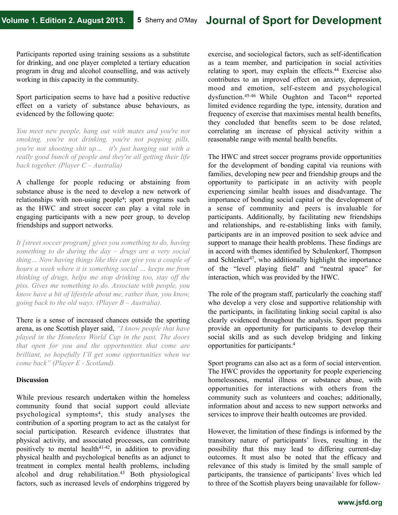Participants reported using training sessions as a substitute for drinking, and one player completed a tertiary education program in drug and alcohol counselling, and was actively working in this capacity in the community.

Sport participation seems to have had a positive reductive effect on a variety of substance abuse behaviours, as evidenced by the following quote:

*You meet new people, hang out with mates and you're not smoking, you're not drinking, you're not popping pills, you're not shooting shit up… it's just hanging out with a really good bunch of people and they're all getting their life back together. (Player C – Australia)* 

A challenge for people reducing or abstaining from substance abuse is the need to develop a new network of relationships with non-using people4; sport programs such as the HWC and street soccer can play a vital role in engaging participants with a new peer group, to develop friendships and support networks.

*It [street soccer program] gives you something to do, having something to do during the day – drugs are a very social thing… Now having things like this can give you a couple of hours a week where it is something social … keeps me from thinking of drugs, helps me stop drinking too, stay off the piss. Gives me something to do. Associate with people, you know have a bit of lifestyle about me, rather than, you know, going back to the old ways. (Player B – Australia).* 

There is a sense of increased chances outside the sporting arena, as one Scottish player said, *"I know people that have played in the Homeless World Cup in the past. The doors that open for you and the opportunities that come are brilliant, so hopefully I'll get some opportunities when we come back" (Player E - Scotland).* 

# **Discussion**

While previous research undertaken within the homeless community found that social support could alleviate psychological symptoms4, this study analyses the contribution of a sporting program to act as the catalyst for social participation. Research evidence illustrates that physical activity, and associated processes, can contribute positively to mental health $41-42$ , in addition to providing physical health and psychological benefits as an adjunct to treatment in complex mental health problems, including alcohol and drug rehabilitation.<sup>43</sup> Both physiological factors, such as increased levels of endorphins triggered by

exercise, and sociological factors, such as self-identification as a team member, and participation in social activities relating to sport, may explain the effects.44 Exercise also contributes to an improved effect on anxiety, depression, mood and emotion, self-esteem and psychological dysfunction.<sup>45-46</sup> While Oughton and Tacon<sup>44</sup> reported limited evidence regarding the type, intensity, duration and frequency of exercise that maximises mental health benefits, they concluded that benefits seem to be dose related, correlating an increase of physical activity within a reasonable range with mental health benefits.

The HWC and street soccer programs provide opportunities for the development of bonding capital via reunions with families, developing new peer and friendship groups and the opportunity to participate in an activity with people experiencing similar health issues and disadvantage. The importance of bonding social capital or the development of a sense of community and peers is invaluable for participants. Additionally, by facilitating new friendships and relationships, and re-establishing links with family, participants are in an improved position to seek advice and support to manage their health problems. These findings are in accord with themes identified by Schulenkorf, Thompson and Schlenker<sup>47</sup>, who additionally highlight the importance of the "level playing field" and "neutral space" for interaction, which was provided by the HWC.

The role of the program staff, particularly the coaching staff who develop a very close and supportive relationship with the participants, in facilitating linking social capital is also clearly evidenced throughout the analysis. Sport programs provide an opportunity for participants to develop their social skills and as such develop bridging and linking opportunities for participants.4

Sport programs can also act as a form of social intervention. The HWC provides the opportunity for people experiencing homelessness, mental illness or substance abuse, with opportunities for interactions with others from the community such as volunteers and coaches; additionally, information about and access to new support networks and services to improve their health outcomes are provided.

However, the limitation of these findings is informed by the transitory nature of participants' lives, resulting in the possibility that this may lead to differing current-day outcomes. It must also be noted that the efficacy and relevance of this study is limited by the small sample of participants, the transience of participants' lives which led to three of the Scottish players being unavailable for follow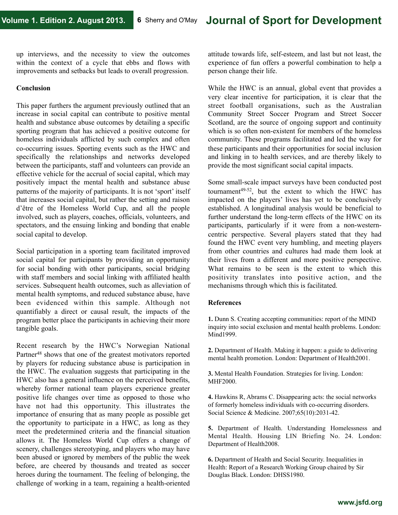up interviews, and the necessity to view the outcomes within the context of a cycle that ebbs and flows with improvements and setbacks but leads to overall progression.

#### **Conclusion**

This paper furthers the argument previously outlined that an increase in social capital can contribute to positive mental health and substance abuse outcomes by detailing a specific sporting program that has achieved a positive outcome for homeless individuals afflicted by such complex and often co-occurring issues. Sporting events such as the HWC and specifically the relationships and networks developed between the participants, staff and volunteers can provide an effective vehicle for the accrual of social capital, which may positively impact the mental health and substance abuse patterns of the majority of participants. It is not 'sport' itself that increases social capital, but rather the setting and raison d'être of the Homeless World Cup, and all the people involved, such as players, coaches, officials, volunteers, and spectators, and the ensuing linking and bonding that enable social capital to develop.

Social participation in a sporting team facilitated improved social capital for participants by providing an opportunity for social bonding with other participants, social bridging with staff members and social linking with affiliated health services. Subsequent health outcomes, such as alleviation of mental health symptoms, and reduced substance abuse, have been evidenced within this sample. Although not quantifiably a direct or causal result, the impacts of the program better place the participants in achieving their more tangible goals.

Recent research by the HWC's Norwegian National Partner<sup>48</sup> shows that one of the greatest motivators reported by players for reducing substance abuse is participation in the HWC. The evaluation suggests that participating in the HWC also has a general influence on the perceived benefits, whereby former national team players experience greater positive life changes over time as opposed to those who have not had this opportunity. This illustrates the importance of ensuring that as many people as possible get the opportunity to participate in a HWC, as long as they meet the predetermined criteria and the financial situation allows it. The Homeless World Cup offers a change of scenery, challenges stereotyping, and players who may have been abused or ignored by members of the public the week before, are cheered by thousands and treated as soccer heroes during the tournament. The feeling of belonging, the challenge of working in a team, regaining a health-oriented

attitude towards life, self-esteem, and last but not least, the experience of fun offers a powerful combination to help a person change their life.

While the HWC is an annual, global event that provides a very clear incentive for participation, it is clear that the street football organisations, such as the Australian Community Street Soccer Program and Street Soccer Scotland, are the source of ongoing support and continuity which is so often non-existent for members of the homeless community. These programs facilitated and led the way for these participants and their opportunities for social inclusion and linking in to health services, and are thereby likely to provide the most significant social capital impacts.

Some small-scale impact surveys have been conducted post tournament49-52, but the extent to which the HWC has impacted on the players' lives has yet to be conclusively established. A longitudinal analysis would be beneficial to further understand the long-term effects of the HWC on its participants, particularly if it were from a non-westerncentric perspective. Several players stated that they had found the HWC event very humbling, and meeting players from other countries and cultures had made them look at their lives from a different and more positive perspective. What remains to be seen is the extent to which this positivity translates into positive action, and the mechanisms through which this is facilitated.

#### **References**

**1.** Dunn S. Creating accepting communities: report of the MIND inquiry into social exclusion and mental health problems. London: Mind1999.

**2.** Department of Health. Making it happen: a guide to delivering mental health promotion. London: Department of Health2001.

**3.** Mental Health Foundation. Strategies for living. London: MHF2000.

**4.** Hawkins R, Abrams C. Disappearing acts: the social networks of formerly homeless individuals with co-occurring disorders. Social Science & Medicine. 2007;65(10):2031-42.

**5.** Department of Health. Understanding Homelessness and Mental Health. Housing LIN Briefing No. 24. London: Department of Health2008.

**6.** Department of Health and Social Security. Inequalities in Health: Report of a Research Working Group chaired by Sir Douglas Black. London: DHSS1980.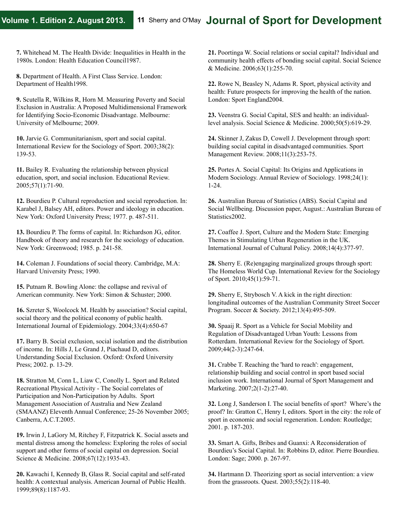**7.** Whitehead M. The Health Divide: Inequalities in Health in the 1980s. London: Health Education Council1987.

**8.** Department of Health. A First Class Service. London: Department of Health1998.

**9.** Scutella R, Wilkins R, Horn M. Measuring Poverty and Social Exclusion in Australia: A Proposed Multidimensional Framework for Identifying Socio-Economic Disadvantage. Melbourne: University of Melbourne; 2009.

**10.** Jarvie G. Communitarianism, sport and social capital. International Review for the Sociology of Sport. 2003;38(2): 139-53.

**11.** Bailey R. Evaluating the relationship between physical education, sport, and social inclusion. Educational Review. 2005;57(1):71-90.

**12.** Bourdieu P. Cultural reproduction and social reproduction. In: Karabel J, Balsey AH, editors. Power and ideology in education. New York: Oxford University Press; 1977. p. 487-511.

**13.** Bourdieu P. The forms of capital. In: Richardson JG, editor. Handbook of theory and research for the sociology of education. New York: Greenwood; 1985. p. 241-58.

**14.** Coleman J. Foundations of social theory. Cambridge, M.A: Harvard University Press; 1990.

**15.** Putnam R. Bowling Alone: the collapse and revival of American community. New York: Simon & Schuster; 2000.

**16.** Szreter S, Woolcock M. Health by association? Social capital, social theory and the political economy of public health. International Journal of Epidemiology. 2004;33(4):650-67

**17.** Barry B. Social exclusion, social isolation and the distribution of income. In: Hills J, Le Grand J, Piachaud D, editors. Understanding Social Exclusion. Oxford: Oxford University Press; 2002. p. 13-29.

**18.** Stratton M, Conn L, Liaw C, Conolly L. Sport and Related Recreational Physical Activity - The Social correlates of Participation and Non-Participation by Adults. Sport Management Association of Australia and New Zealand (SMAANZ) Eleventh Annual Conference; 25-26 November 2005; Canberra, A.C.T.2005.

**19.** Irwin J, LaGory M, Ritchey F, Fitzpatrick K. Social assets and mental distress among the homeless: Exploring the roles of social support and other forms of social capital on depression. Social Science & Medicine. 2008;67(12):1935-43.

**20.** Kawachi I, Kennedy B, Glass R. Social capital and self-rated health: A contextual analysis. American Journal of Public Health. 1999;89(8):1187-93.

**21.** Poortinga W. Social relations or social capital? Individual and community health effects of bonding social capital. Social Science & Medicine. 2006;63(1):255-70.

**22.** Rowe N, Beasley N, Adams R. Sport, physical activity and health: Future prospects for improving the health of the nation. London: Sport England2004.

**23.** Veenstra G. Social Capital, SES and health: an individuallevel analysis. Social Science & Medicine. 2000;50(5):619-29.

**24.** Skinner J, Zakus D, Cowell J. Development through sport: building social capital in disadvantaged communities. Sport Management Review. 2008;11(3):253-75.

**25.** Portes A. Social Capital: Its Origins and Applications in Modern Sociology. Annual Review of Sociology. 1998;24(1): 1-24.

**26.** Australian Bureau of Statistics (ABS). Social Capital and Social Wellbeing. Discussion paper, August.: Australian Bureau of Statistics2002.

**27.** Coaffee J. Sport, Culture and the Modern State: Emerging Themes in Stimulating Urban Regeneration in the UK. International Journal of Cultural Policy. 2008;14(4):377-97.

**28.** Sherry E. (Re)engaging marginalized groups through sport: The Homeless World Cup. International Review for the Sociology of Sport. 2010;45(1):59-71.

**29.** Sherry E, Strybosch V. A kick in the right direction: longitudinal outcomes of the Australian Community Street Soccer Program. Soccer & Society. 2012;13(4):495-509.

**30.** Spaaij R. Sport as a Vehicle for Social Mobility and Regulation of Disadvantaged Urban Youth: Lessons from Rotterdam. International Review for the Sociology of Sport. 2009;44(2-3):247-64.

**31.** Crabbe T. Reaching the 'hard to reach': engagement, relationship building and social control in sport based social inclusion work. International Journal of Sport Management and Marketing. 2007;2(1-2):27-40.

**32.** Long J, Sanderson I. The social benefits of sport? Where's the proof? In: Gratton C, Henry I, editors. Sport in the city: the role of sport in economic and social regeneration. London: Routledge; 2001. p. 187-203.

**33.** Smart A. Gifts, Bribes and Guanxi: A Reconsideration of Bourdieu's Social Capital. In: Robbins D, editor. Pierre Bourdieu. London: Sage; 2000. p. 267-97.

**34.** Hartmann D. Theorizing sport as social intervention: a view from the grassroots. Quest. 2003;55(2):118-40.